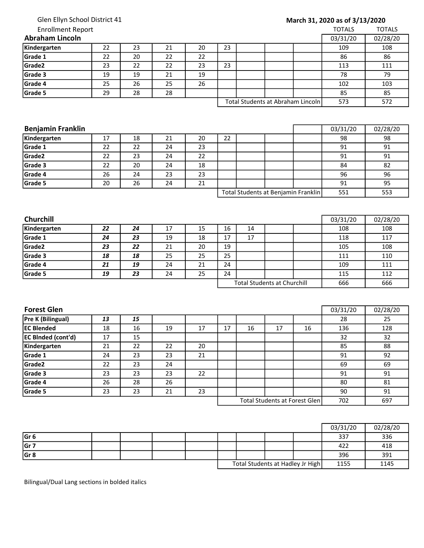## Glen Ellyn School District 41

## Enrollment Report

## March 31, 2020 as of 3/13/2020

| <b>Enrollment Report</b> |    |    |    |    |    |  |                                   | <b>TOTALS</b> | <b>TOTALS</b> |
|--------------------------|----|----|----|----|----|--|-----------------------------------|---------------|---------------|
| <b>Abraham Lincoln</b>   |    |    |    |    |    |  |                                   | 03/31/20      | 02/28/20      |
| Kindergarten             | 22 | 23 | 21 | 20 | 23 |  |                                   | 109           | 108           |
| Grade 1                  | 22 | 20 | 22 | 22 |    |  |                                   | 86            | 86            |
| Grade <sub>2</sub>       | 23 | 22 | 22 | 23 | 23 |  |                                   | 113           | 111           |
| Grade 3                  | 19 | 19 | 21 | 19 |    |  |                                   | 78            | 79            |
| Grade 4                  | 25 | 26 | 25 | 26 |    |  |                                   | 102           | 103           |
| Grade 5                  | 29 | 28 | 28 |    |    |  |                                   | 85            | 85            |
|                          |    |    |    |    |    |  | Total Students at Abraham Lincoln | 573           | 572           |

| <b>Benjamin Franklin</b> | 03/31/20 | 02/28/20 |    |    |    |                                     |     |     |
|--------------------------|----------|----------|----|----|----|-------------------------------------|-----|-----|
| Kindergarten             | 17       | 18       | 21 | 20 | 22 |                                     | 98  | 98  |
| Grade 1                  | 22       | 22       | 24 | 23 |    |                                     | 91  | 91  |
| Grade <sub>2</sub>       | 22       | 23       | 24 | 22 |    |                                     | 91  | 91  |
| Grade 3                  | 22       | 20       | 24 | 18 |    |                                     | 84  | 82  |
| Grade 4                  | 26       | 24       | 23 | 23 |    |                                     | 96  | 96  |
| Grade 5                  | 20       | 26       | 24 | 21 |    |                                     | 91  | 95  |
|                          |          |          |    |    |    | Total Students at Benjamin Franklin | 551 | 553 |

| <b>Churchill</b>   |    |    |    |    |                                    |    |  |  | 03/31/20 | 02/28/20 |
|--------------------|----|----|----|----|------------------------------------|----|--|--|----------|----------|
| Kindergarten       | 22 | 24 | 17 | 15 | 16                                 | 14 |  |  | 108      | 108      |
| Grade 1            | 24 | 23 | 19 | 18 | 17                                 | 17 |  |  | 118      | 117      |
| Grade <sub>2</sub> | 23 | 22 | 21 | 20 | 19                                 |    |  |  | 105      | 108      |
| Grade 3            | 18 | 18 | 25 | 25 | 25                                 |    |  |  | 111      | 110      |
| Grade 4            | 21 | 19 | 24 | 21 | 24                                 |    |  |  | 109      | 111      |
| Grade 5            | 19 | 23 | 24 | 25 | 24                                 |    |  |  | 115      | 112      |
|                    |    |    |    |    | <b>Total Students at Churchill</b> |    |  |  | 666      | 666      |

| <b>Forest Glen</b>        |    |    |    |    |    |    |                               |     | 03/31/20 | 02/28/20 |
|---------------------------|----|----|----|----|----|----|-------------------------------|-----|----------|----------|
| <b>Pre K (Bilingual)</b>  | 13 | 15 |    |    |    |    |                               |     | 28       | 25       |
| <b>EC Blended</b>         | 18 | 16 | 19 | 17 | 17 | 16 | 17                            | 16  | 136      | 128      |
| <b>EC BInded (cont'd)</b> | 17 | 15 |    |    |    |    |                               |     | 32       | 32       |
| Kindergarten              | 21 | 22 | 22 | 20 |    |    |                               |     | 85       | 88       |
| Grade 1                   | 24 | 23 | 23 | 21 |    |    |                               |     | 91       | 92       |
| Grade <sub>2</sub>        | 22 | 23 | 24 |    |    |    |                               |     | 69       | 69       |
| Grade 3                   | 23 | 23 | 23 | 22 |    |    |                               |     | 91       | 91       |
| Grade 4                   | 26 | 28 | 26 |    |    |    |                               |     | 80       | 81       |
| Grade 5                   | 23 | 23 | 21 | 23 |    |    |                               |     | 90       | 91       |
|                           |    |    |    |    |    |    | Total Students at Forest Glen | 702 | 697      |          |

|                 |  |  |  |                                  | 03/31/20 | 02/28/20 |
|-----------------|--|--|--|----------------------------------|----------|----------|
| Gr <sub>6</sub> |  |  |  |                                  | 337      | 336      |
| Gr 7            |  |  |  |                                  | 422      | 418      |
| Gr <sub>8</sub> |  |  |  |                                  | 396      | 391      |
|                 |  |  |  | Total Students at Hadley Jr High | 1155     | 1145     |

Bilingual/Dual Lang sections in bolded italics